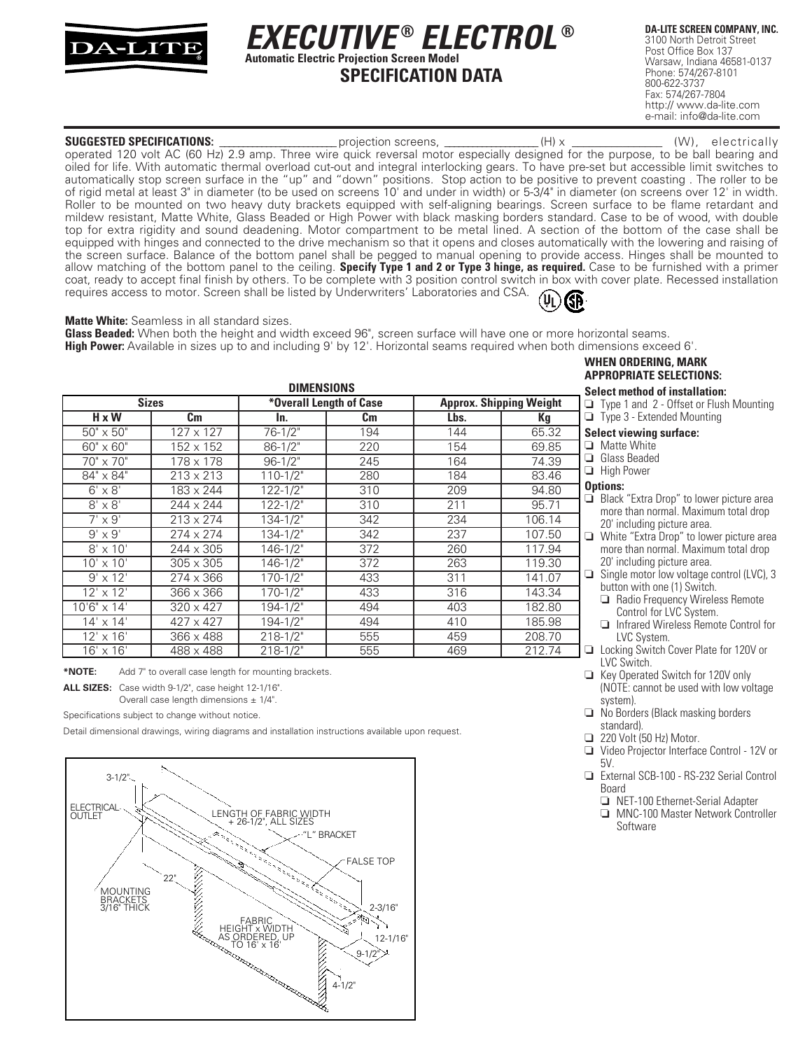

# **SPECIFICATION DATA** *EXECUTIVE* **®** *ELECTROL* **® Automatic Electric Projection Screen Model**

**DA-LITE SCREEN COMPANY, INC.** 3100 North Detroit Street Post Office Box 137 Warsaw, Indiana 46581-0137 Phone: 574/267-8101 800-622-3737 Fax: 574/267-7804 http:// www.da-lite.com e-mail: info@da-lite.com

**SUGGESTED SPECIFICATIONS:** \_\_\_\_\_\_\_\_\_\_\_\_\_\_\_\_\_\_\_\_\_\_\_\_\_ projection screens, \_\_\_\_\_\_\_\_\_\_\_\_\_\_\_\_\_\_\_\_ (H) x \_\_\_\_\_\_\_\_\_\_\_\_\_\_\_\_ (W), electrically operated 120 volt AC (60 Hz) 2.9 amp. Three wire quick reversal motor especially designed for the purpose, to be ball bearing and oiled for life. With automatic thermal overload cut-out and integral interlocking gears. To have pre-set but accessible limit switches to automatically stop screen surface in the "up" and "down" positions. Stop action to be positive to prevent coasting . The roller to be of rigid metal at least 3" in diameter (to be used on screens 10' and under in width) or 5-3/4" in diameter (on screens over 12' in width. Roller to be mounted on two heavy duty brackets equipped with self-aligning bearings. Screen surface to be flame retardant and mildew resistant, Matte White, Glass Beaded or High Power with black masking borders standard. Case to be of wood, with double top for extra rigidity and sound deadening. Motor compartment to be metal lined. A section of the bottom of the case shall be equipped with hinges and connected to the drive mechanism so that it opens and closes automatically with the lowering and raising of the screen surface. Balance of the bottom panel shall be pegged to manual opening to provide access. Hinges shall be mounted to allow matching of the bottom panel to the ceiling. **Specify Type 1 and 2 or Type 3 hinge, as required.** Case to be furnished with a primer coat, ready to accept final finish by others. To be complete with 3 position control switch in box with cover plate. Recessed installation requires access to motor. Screen shall be listed by Underwriters' Laboratories and CSA.  $(\mathfrak{y}_\mathsf{L})$ 

#### **Matte White:** Seamless in all standard sizes.

**Glass Beaded:** When both the height and width exceed 96", screen surface will have one or more horizontal seams. **High Power:** Available in sizes up to and including 9' by 12'. Horizontal seams required when both dimensions exceed 6'.

| <b>DIMENSIONS</b>   |                  |                         |     |                                |        |  |
|---------------------|------------------|-------------------------|-----|--------------------------------|--------|--|
| <b>Sizes</b>        |                  | *Overall Length of Case |     | <b>Approx. Shipping Weight</b> |        |  |
| $H \times W$        | Cm               | In.                     | Cm  | Lbs.                           | Кg     |  |
| $50" \times 50"$    | $127 \times 127$ | $76 - 1/2"$             | 194 | 144                            | 65.32  |  |
| 60" x 60"           | 152 x 152        | $86 - 1/2"$             | 220 | 154                            | 69.85  |  |
| $70" \times 70"$    | 178 x 178        | $96 - 1/2"$             | 245 | 164                            | 74.39  |  |
| 84" x 84"           | $213 \times 213$ | $110 - 1/2"$            | 280 | 184                            | 83.46  |  |
| $6' \times 8'$      | 183 x 244        | $122 - 1/2"$            | 310 | 209                            | 94.80  |  |
| $8' \times 8'$      | 244 x 244        | $122 - 1/2"$            | 310 | 211                            | 95.71  |  |
| $7' \times 9'$      | $213 \times 274$ | $134 - 1/2$ "           | 342 | 234                            | 106.14 |  |
| $9' \times 9'$      | 274 x 274        | $134 - 1/2$ "           | 342 | 237                            | 107.50 |  |
| $8' \times 10'$     | 244 x 305        | $146 - 1/2"$            | 372 | 260                            | 117.94 |  |
| $10' \times 10'$    | $305 \times 305$ | $146 - 1/2$ "           | 372 | 263                            | 119.30 |  |
| $9' \times 12'$     | 274 x 366        | $170 - 1/2$ "           | 433 | 311                            | 141.07 |  |
| $12' \times 12'$    | 366 x 366        | $170 - 1/2$ "           | 433 | 316                            | 143.34 |  |
| $10'6'' \times 14'$ | $320 \times 427$ | $194 - 1/2"$            | 494 | 403                            | 182.80 |  |
| $14' \times 14'$    | $427 \times 427$ | $194 - 1/2"$            | 494 | 410                            | 185.98 |  |
| $12' \times 16'$    | 366 x 488        | $218 - 1/2"$            | 555 | 459                            | 208.70 |  |
| $16' \times 16'$    | 488 x 488        | $218 - 1/2"$            | 555 | 469                            | 212.74 |  |

**\*NOTE:** Add 7" to overall case length for mounting brackets.

**ALL SIZES:** Case width 9-1/2", case height 12-1/16".

Overall case length dimensions  $\pm$  1/4".

Specifications subject to change without notice.

Detail dimensional drawings, wiring diagrams and installation instructions available upon request.



## **WHEN ORDERING, MARK APPROPRIATE SELECTIONS:**

**Select method of installation:**

- ❏ Type 1 and 2 Offset or Flush Mounting ❏ Type 3 - Extended Mounting
- **Select viewing surface:**
- ❏ Matte White
- ❏ Glass Beaded
- ❏ High Power

### **Options:**

- ❏ Black "Extra Drop" to lower picture area more than normal. Maximum total drop 20' including picture area.
- ❏ White "Extra Drop" to lower picture area more than normal. Maximum total drop 20' including picture area.
- ❏ Single motor low voltage control (LVC), 3 button with one (1) Switch.
	- ❏ Radio Frequency Wireless Remote Control for LVC System.
	- ❏ Infrared Wireless Remote Control for LVC System.
- ❏ Locking Switch Cover Plate for 120V or LVC Switch.
- ❏ Key Operated Switch for 120V only (NOTE: cannot be used with low voltage system).
- ❏ No Borders (Black masking borders standard).
- ❑ 220 Volt (50 Hz) Motor.
- ❏ Video Projector Interface Control 12V or  $5V$
- ❏ External SCB-100 RS-232 Serial Control Board
	- ❏ NET-100 Ethernet-Serial Adapter
	- ❏ MNC-100 Master Network Controller **Software**